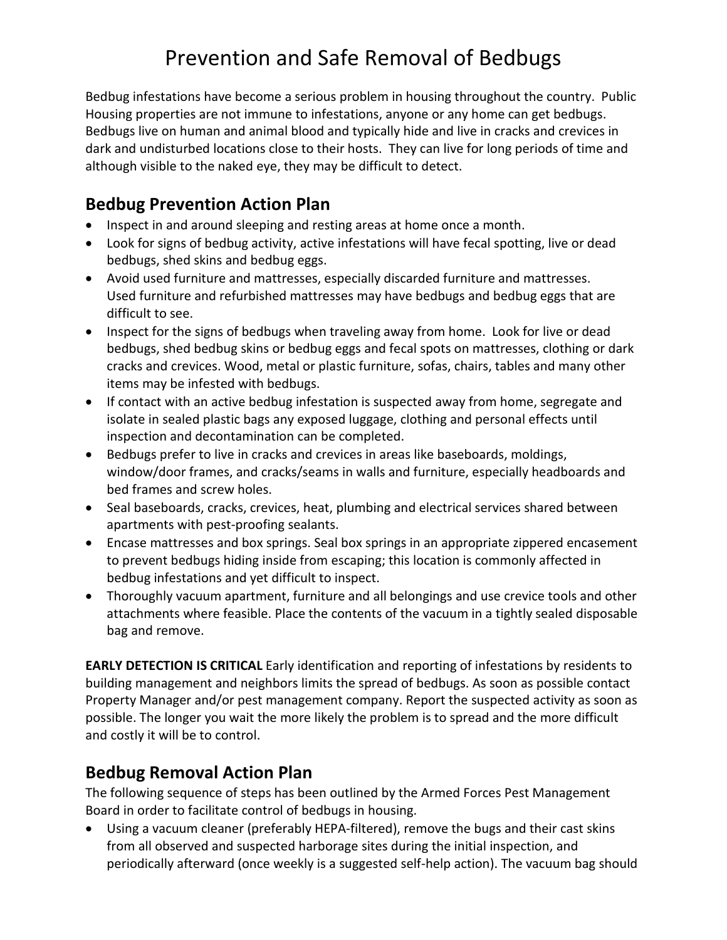# Prevention and Safe Removal of Bedbugs

Bedbug infestations have become a serious problem in housing throughout the country. Public Housing properties are not immune to infestations, anyone or any home can get bedbugs. Bedbugs live on human and animal blood and typically hide and live in cracks and crevices in dark and undisturbed locations close to their hosts. They can live for long periods of time and although visible to the naked eye, they may be difficult to detect.

#### **Bedbug Prevention Action Plan**

- Inspect in and around sleeping and resting areas at home once a month.
- Look for signs of bedbug activity, active infestations will have fecal spotting, live or dead bedbugs, shed skins and bedbug eggs.
- Avoid used furniture and mattresses, especially discarded furniture and mattresses. Used furniture and refurbished mattresses may have bedbugs and bedbug eggs that are difficult to see.
- Inspect for the signs of bedbugs when traveling away from home. Look for live or dead bedbugs, shed bedbug skins or bedbug eggs and fecal spots on mattresses, clothing or dark cracks and crevices. Wood, metal or plastic furniture, sofas, chairs, tables and many other items may be infested with bedbugs.
- If contact with an active bedbug infestation is suspected away from home, segregate and isolate in sealed plastic bags any exposed luggage, clothing and personal effects until inspection and decontamination can be completed.
- Bedbugs prefer to live in cracks and crevices in areas like baseboards, moldings, window/door frames, and cracks/seams in walls and furniture, especially headboards and bed frames and screw holes.
- Seal baseboards, cracks, crevices, heat, plumbing and electrical services shared between apartments with pest-proofing sealants.
- Encase mattresses and box springs. Seal box springs in an appropriate zippered encasement to prevent bedbugs hiding inside from escaping; this location is commonly affected in bedbug infestations and yet difficult to inspect.
- Thoroughly vacuum apartment, furniture and all belongings and use crevice tools and other attachments where feasible. Place the contents of the vacuum in a tightly sealed disposable bag and remove.

**EARLY DETECTION IS CRITICAL** Early identification and reporting of infestations by residents to building management and neighbors limits the spread of bedbugs. As soon as possible contact Property Manager and/or pest management company. Report the suspected activity as soon as possible. The longer you wait the more likely the problem is to spread and the more difficult and costly it will be to control.

#### **Bedbug Removal Action Plan**

The following sequence of steps has been outlined by the Armed Forces Pest Management Board in order to facilitate control of bedbugs in housing.

 Using a vacuum cleaner (preferably HEPA-filtered), remove the bugs and their cast skins from all observed and suspected harborage sites during the initial inspection, and periodically afterward (once weekly is a suggested self-help action). The vacuum bag should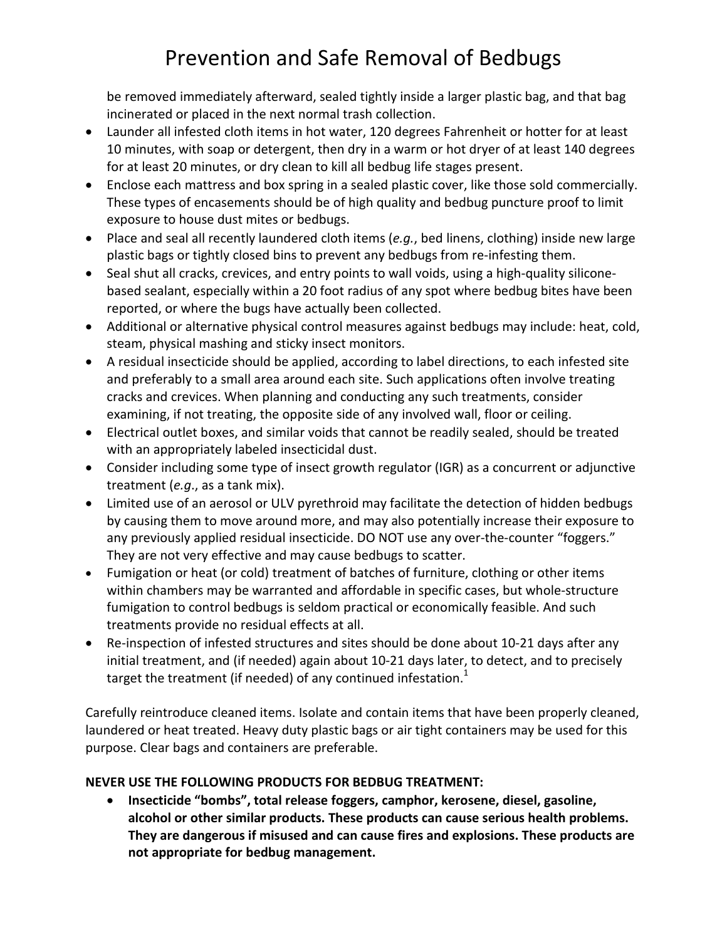# Prevention and Safe Removal of Bedbugs

be removed immediately afterward, sealed tightly inside a larger plastic bag, and that bag incinerated or placed in the next normal trash collection.

- Launder all infested cloth items in hot water, 120 degrees Fahrenheit or hotter for at least 10 minutes, with soap or detergent, then dry in a warm or hot dryer of at least 140 degrees for at least 20 minutes, or dry clean to kill all bedbug life stages present.
- Enclose each mattress and box spring in a sealed plastic cover, like those sold commercially. These types of encasements should be of high quality and bedbug puncture proof to limit exposure to house dust mites or bedbugs.
- Place and seal all recently laundered cloth items (*e.g.*, bed linens, clothing) inside new large plastic bags or tightly closed bins to prevent any bedbugs from re-infesting them.
- Seal shut all cracks, crevices, and entry points to wall voids, using a high-quality siliconebased sealant, especially within a 20 foot radius of any spot where bedbug bites have been reported, or where the bugs have actually been collected.
- Additional or alternative physical control measures against bedbugs may include: heat, cold, steam, physical mashing and sticky insect monitors.
- A residual insecticide should be applied, according to label directions, to each infested site and preferably to a small area around each site. Such applications often involve treating cracks and crevices. When planning and conducting any such treatments, consider examining, if not treating, the opposite side of any involved wall, floor or ceiling.
- Electrical outlet boxes, and similar voids that cannot be readily sealed, should be treated with an appropriately labeled insecticidal dust.
- Consider including some type of insect growth regulator (IGR) as a concurrent or adjunctive treatment (*e.g*., as a tank mix).
- Limited use of an aerosol or ULV pyrethroid may facilitate the detection of hidden bedbugs by causing them to move around more, and may also potentially increase their exposure to any previously applied residual insecticide. DO NOT use any over-the-counter "foggers." They are not very effective and may cause bedbugs to scatter.
- Fumigation or heat (or cold) treatment of batches of furniture, clothing or other items within chambers may be warranted and affordable in specific cases, but whole-structure fumigation to control bedbugs is seldom practical or economically feasible. And such treatments provide no residual effects at all.
- Re-inspection of infested structures and sites should be done about 10-21 days after any initial treatment, and (if needed) again about 10-21 days later, to detect, and to precisely target the treatment (if needed) of any continued infestation. $1$

Carefully reintroduce cleaned items. Isolate and contain items that have been properly cleaned, laundered or heat treated. Heavy duty plastic bags or air tight containers may be used for this purpose. Clear bags and containers are preferable.

#### **NEVER USE THE FOLLOWING PRODUCTS FOR BEDBUG TREATMENT:**

 **Insecticide "bombs", total release foggers, camphor, kerosene, diesel, gasoline, alcohol or other similar products. These products can cause serious health problems. They are dangerous if misused and can cause fires and explosions. These products are not appropriate for bedbug management.**